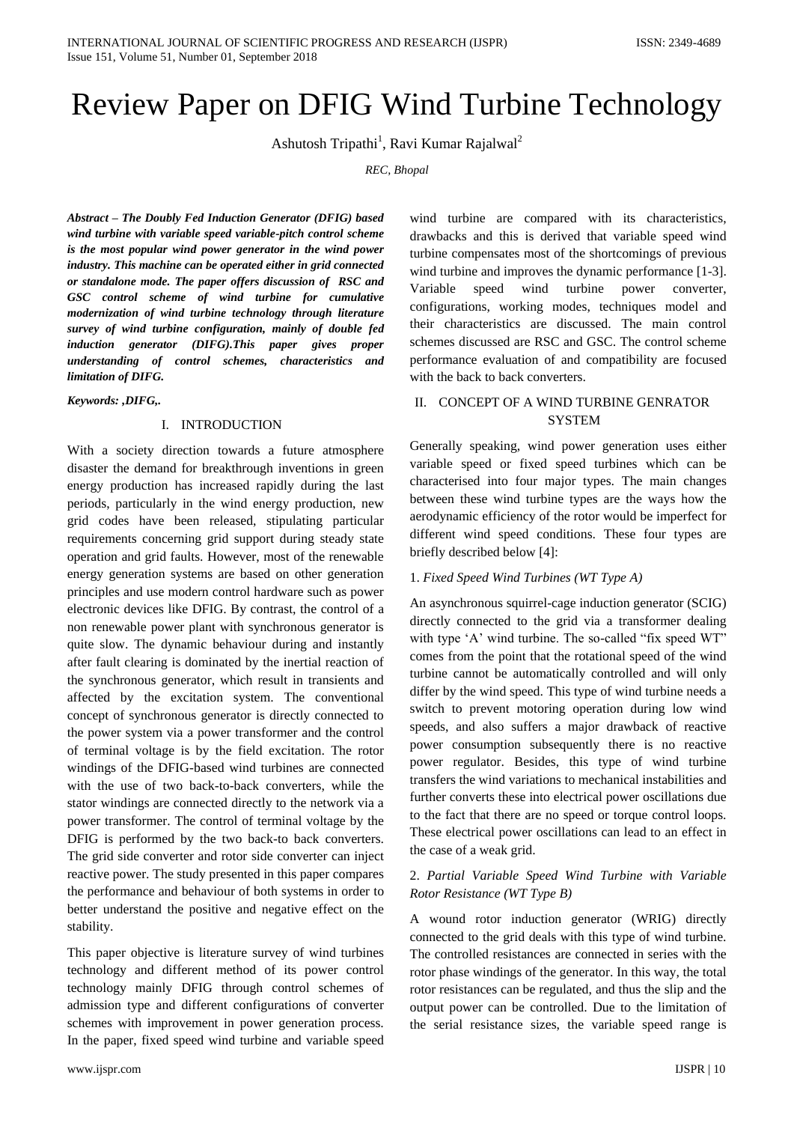# Review Paper on DFIG Wind Turbine Technology

Ashutosh Tripathi<sup>1</sup>, Ravi Kumar Rajalwal<sup>2</sup>

*REC, Bhopal*

*Abstract – The Doubly Fed Induction Generator (DFIG) based wind turbine with variable speed variable-pitch control scheme is the most popular wind power generator in the wind power industry. This machine can be operated either in grid connected or standalone mode. The paper offers discussion of RSC and GSC control scheme of wind turbine for cumulative modernization of wind turbine technology through literature survey of wind turbine configuration, mainly of double fed induction generator (DIFG).This paper gives proper understanding of control schemes, characteristics and limitation of DIFG.*

#### *Keywords: ,DIFG,.*

#### I. INTRODUCTION

With a society direction towards a future atmosphere disaster the demand for breakthrough inventions in green energy production has increased rapidly during the last periods, particularly in the wind energy production, new grid codes have been released, stipulating particular requirements concerning grid support during steady state operation and grid faults. However, most of the renewable energy generation systems are based on other generation principles and use modern control hardware such as power electronic devices like DFIG. By contrast, the control of a non renewable power plant with synchronous generator is quite slow. The dynamic behaviour during and instantly after fault clearing is dominated by the inertial reaction of the synchronous generator, which result in transients and affected by the excitation system. The conventional concept of synchronous generator is directly connected to the power system via a power transformer and the control of terminal voltage is by the field excitation. The rotor windings of the DFIG-based wind turbines are connected with the use of two back-to-back converters, while the stator windings are connected directly to the network via a power transformer. The control of terminal voltage by the DFIG is performed by the two back-to back converters. The grid side converter and rotor side converter can inject reactive power. The study presented in this paper compares the performance and behaviour of both systems in order to better understand the positive and negative effect on the stability.

This paper objective is literature survey of wind turbines technology and different method of its power control technology mainly DFIG through control schemes of admission type and different configurations of converter schemes with improvement in power generation process. In the paper, fixed speed wind turbine and variable speed

wind turbine are compared with its characteristics, drawbacks and this is derived that variable speed wind turbine compensates most of the shortcomings of previous wind turbine and improves the dynamic performance [1-3]. Variable speed wind turbine power converter, configurations, working modes, techniques model and their characteristics are discussed. The main control schemes discussed are RSC and GSC. The control scheme performance evaluation of and compatibility are focused with the back to back converters.

# II. CONCEPT OF A WIND TURBINE GENRATOR **SYSTEM**

Generally speaking, wind power generation uses either variable speed or fixed speed turbines which can be characterised into four major types. The main changes between these wind turbine types are the ways how the aerodynamic efficiency of the rotor would be imperfect for different wind speed conditions. These four types are briefly described below [4]:

### 1. *Fixed Speed Wind Turbines (WT Type A)*

An asynchronous squirrel-cage induction generator (SCIG) directly connected to the grid via a transformer dealing with type 'A' wind turbine. The so-called "fix speed WT" comes from the point that the rotational speed of the wind turbine cannot be automatically controlled and will only differ by the wind speed. This type of wind turbine needs a switch to prevent motoring operation during low wind speeds, and also suffers a major drawback of reactive power consumption subsequently there is no reactive power regulator. Besides, this type of wind turbine transfers the wind variations to mechanical instabilities and further converts these into electrical power oscillations due to the fact that there are no speed or torque control loops. These electrical power oscillations can lead to an effect in the case of a weak grid.

# 2. *Partial Variable Speed Wind Turbine with Variable Rotor Resistance (WT Type B)*

A wound rotor induction generator (WRIG) directly connected to the grid deals with this type of wind turbine. The controlled resistances are connected in series with the rotor phase windings of the generator. In this way, the total rotor resistances can be regulated, and thus the slip and the output power can be controlled. Due to the limitation of the serial resistance sizes, the variable speed range is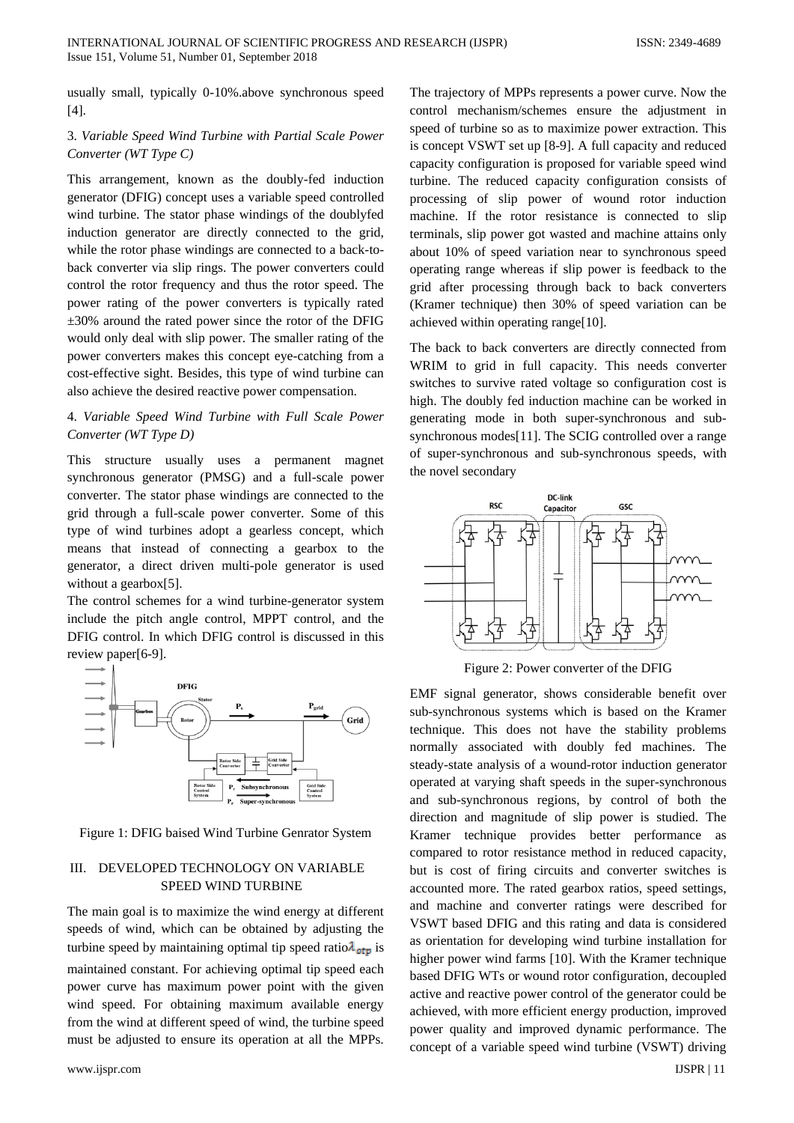usually small, typically 0-10%.above synchronous speed [4].

# 3. *Variable Speed Wind Turbine with Partial Scale Power Converter (WT Type C)*

This arrangement, known as the doubly-fed induction generator (DFIG) concept uses a variable speed controlled wind turbine. The stator phase windings of the doublyfed induction generator are directly connected to the grid, while the rotor phase windings are connected to a back-toback converter via slip rings. The power converters could control the rotor frequency and thus the rotor speed. The power rating of the power converters is typically rated ±30% around the rated power since the rotor of the DFIG would only deal with slip power. The smaller rating of the power converters makes this concept eye-catching from a cost-effective sight. Besides, this type of wind turbine can also achieve the desired reactive power compensation.

# 4. *Variable Speed Wind Turbine with Full Scale Power Converter (WT Type D)*

This structure usually uses a permanent magnet synchronous generator (PMSG) and a full-scale power converter. The stator phase windings are connected to the grid through a full-scale power converter. Some of this type of wind turbines adopt a gearless concept, which means that instead of connecting a gearbox to the generator, a direct driven multi-pole generator is used without a gearbox[5].

The control schemes for a wind turbine-generator system include the pitch angle control, MPPT control, and the DFIG control. In which DFIG control is discussed in this review paper[6-9].



Figure 1: DFIG baised Wind Turbine Genrator System

# III. DEVELOPED TECHNOLOGY ON VARIABLE SPEED WIND TURBINE

The main goal is to maximize the wind energy at different speeds of wind, which can be obtained by adjusting the turbine speed by maintaining optimal tip speed ratio $\lambda_{\text{otp}}$  is maintained constant. For achieving optimal tip speed each power curve has maximum power point with the given wind speed. For obtaining maximum available energy from the wind at different speed of wind, the turbine speed must be adjusted to ensure its operation at all the MPPs.

The trajectory of MPPs represents a power curve. Now the control mechanism/schemes ensure the adjustment in speed of turbine so as to maximize power extraction. This is concept VSWT set up [8-9]. A full capacity and reduced capacity configuration is proposed for variable speed wind turbine. The reduced capacity configuration consists of processing of slip power of wound rotor induction machine. If the rotor resistance is connected to slip terminals, slip power got wasted and machine attains only about 10% of speed variation near to synchronous speed operating range whereas if slip power is feedback to the grid after processing through back to back converters (Kramer technique) then 30% of speed variation can be achieved within operating range[10].

The back to back converters are directly connected from WRIM to grid in full capacity. This needs converter switches to survive rated voltage so configuration cost is high. The doubly fed induction machine can be worked in generating mode in both super-synchronous and subsynchronous modes[11]. The SCIG controlled over a range of super-synchronous and sub-synchronous speeds, with the novel secondary



Figure 2: Power converter of the DFIG

EMF signal generator, shows considerable benefit over sub-synchronous systems which is based on the Kramer technique. This does not have the stability problems normally associated with doubly fed machines. The steady-state analysis of a wound-rotor induction generator operated at varying shaft speeds in the super-synchronous and sub-synchronous regions, by control of both the direction and magnitude of slip power is studied. The Kramer technique provides better performance as compared to rotor resistance method in reduced capacity, but is cost of firing circuits and converter switches is accounted more. The rated gearbox ratios, speed settings, and machine and converter ratings were described for VSWT based DFIG and this rating and data is considered as orientation for developing wind turbine installation for higher power wind farms [10]. With the Kramer technique based DFIG WTs or wound rotor configuration, decoupled active and reactive power control of the generator could be achieved, with more efficient energy production, improved power quality and improved dynamic performance. The concept of a variable speed wind turbine (VSWT) driving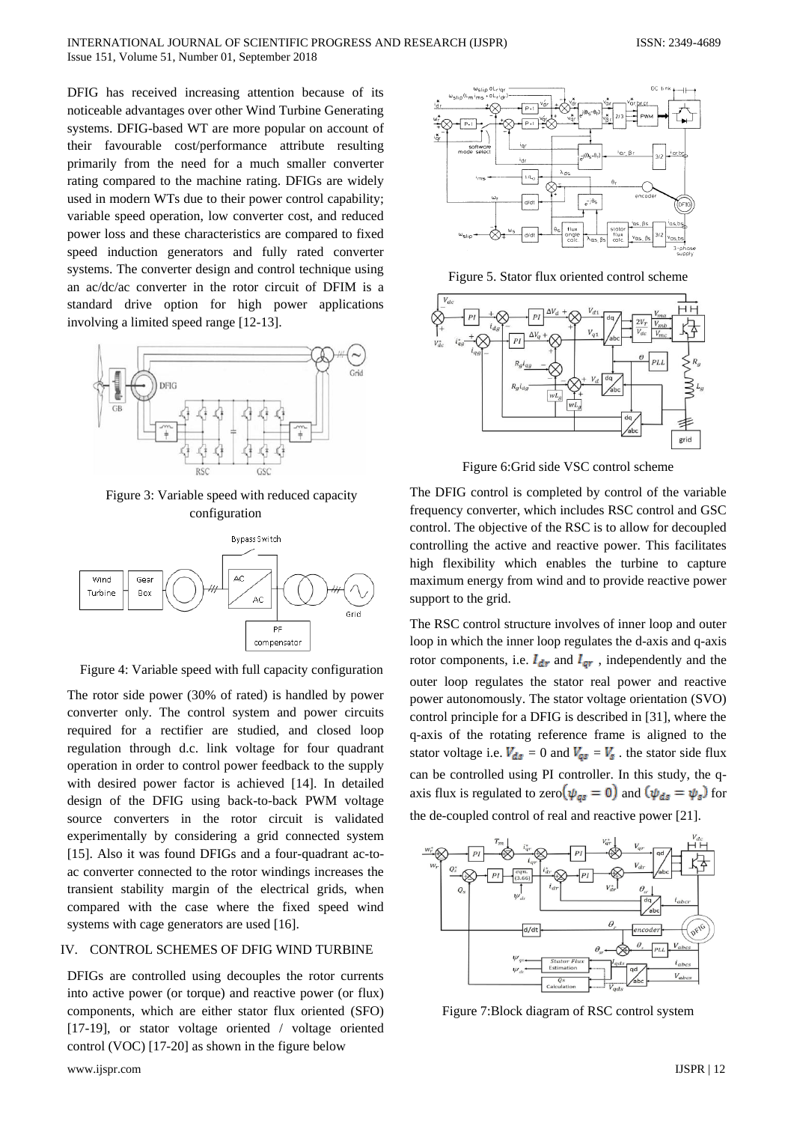DFIG has received increasing attention because of its noticeable advantages over other Wind Turbine Generating systems. DFIG-based WT are more popular on account of their favourable cost/performance attribute resulting primarily from the need for a much smaller converter rating compared to the machine rating. DFIGs are widely used in modern WTs due to their power control capability; variable speed operation, low converter cost, and reduced power loss and these characteristics are compared to fixed speed induction generators and fully rated converter systems. The converter design and control technique using an ac/dc/ac converter in the rotor circuit of DFIM is a standard drive option for high power applications involving a limited speed range [12-13].



Figure 3: Variable speed with reduced capacity configuration



Figure 4: Variable speed with full capacity configuration

The rotor side power (30% of rated) is handled by power converter only. The control system and power circuits required for a rectifier are studied, and closed loop regulation through d.c. link voltage for four quadrant operation in order to control power feedback to the supply with desired power factor is achieved [14]. In detailed design of the DFIG using back-to-back PWM voltage source converters in the rotor circuit is validated experimentally by considering a grid connected system [15]. Also it was found DFIGs and a four-quadrant ac-toac converter connected to the rotor windings increases the transient stability margin of the electrical grids, when compared with the case where the fixed speed wind systems with cage generators are used [16].

#### IV. CONTROL SCHEMES OF DFIG WIND TURBINE

DFIGs are controlled using decouples the rotor currents into active power (or torque) and reactive power (or flux) components, which are either stator flux oriented (SFO) [17-19], or stator voltage oriented / voltage oriented control (VOC) [17-20] as shown in the figure below



Figure 5. Stator flux oriented control scheme



Figure 6:Grid side VSC control scheme

The DFIG control is completed by control of the variable frequency converter, which includes RSC control and GSC control. The objective of the RSC is to allow for decoupled controlling the active and reactive power. This facilitates high flexibility which enables the turbine to capture maximum energy from wind and to provide reactive power support to the grid.

The RSC control structure involves of inner loop and outer loop in which the inner loop regulates the d-axis and q-axis rotor components, i.e.  $I_{dr}$  and  $I_{qr}$ , independently and the outer loop regulates the stator real power and reactive power autonomously. The stator voltage orientation (SVO) control principle for a DFIG is described in [31], where the q-axis of the rotating reference frame is aligned to the stator voltage i.e.  $V_{ds} = 0$  and  $V_{ds} = V_s$ . the stator side flux can be controlled using PI controller. In this study, the qaxis flux is regulated to zero  $(\psi_{gs} = 0)$  and  $(\psi_{ds} = \psi_s)$  for the de-coupled control of real and reactive power [21].



Figure 7:Block diagram of RSC control system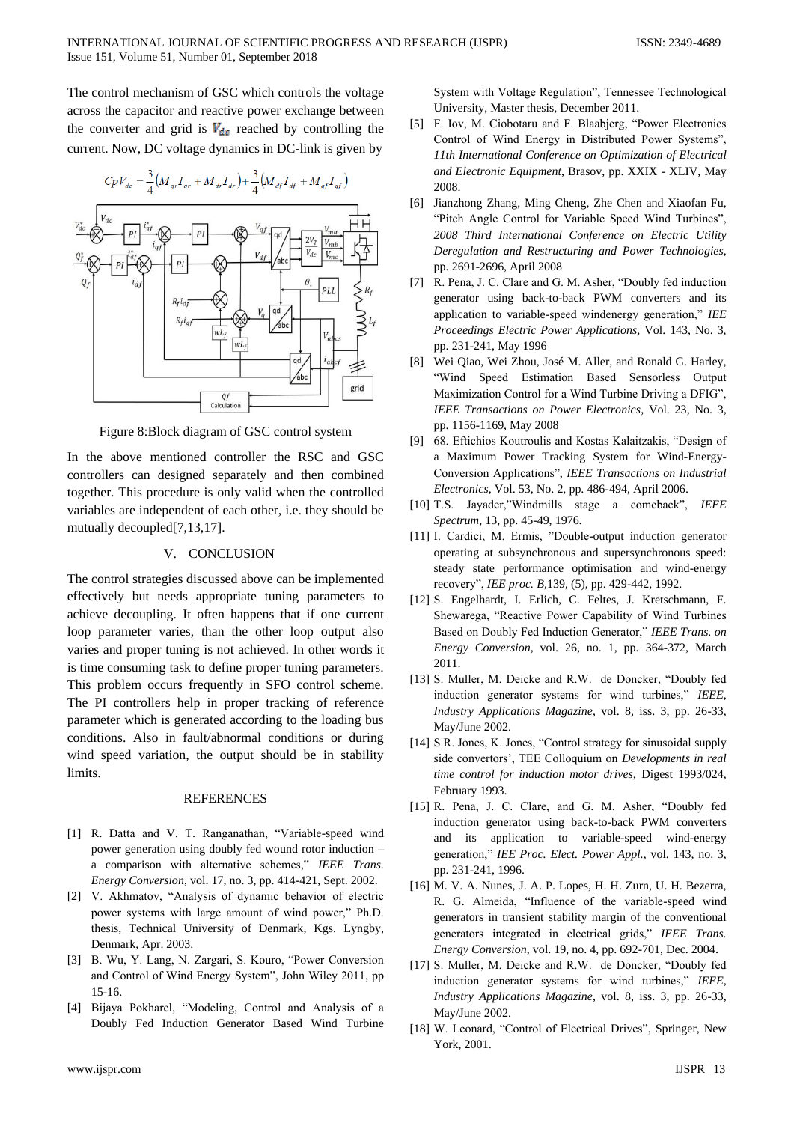The control mechanism of GSC which controls the voltage across the capacitor and reactive power exchange between the converter and grid is  $V_{dc}$  reached by controlling the current. Now, DC voltage dynamics in DC-link is given by



Figure 8:Block diagram of GSC control system

In the above mentioned controller the RSC and GSC controllers can designed separately and then combined together. This procedure is only valid when the controlled variables are independent of each other, i.e. they should be mutually decoupled[7,13,17].

#### V. CONCLUSION

The control strategies discussed above can be implemented effectively but needs appropriate tuning parameters to achieve decoupling. It often happens that if one current loop parameter varies, than the other loop output also varies and proper tuning is not achieved. In other words it is time consuming task to define proper tuning parameters. This problem occurs frequently in SFO control scheme. The PI controllers help in proper tracking of reference parameter which is generated according to the loading bus conditions. Also in fault/abnormal conditions or during wind speed variation, the output should be in stability limits.

#### **REFERENCES**

- [1] R. Datta and V. T. Ranganathan, "Variable-speed wind power generation using doubly fed wound rotor induction – a comparison with alternative schemes," *IEEE Trans. Energy Conversion*, vol. 17, no. 3, pp. 414-421, Sept. 2002.
- [2] V. Akhmatov, "Analysis of dynamic behavior of electric power systems with large amount of wind power," Ph.D. thesis, Technical University of Denmark, Kgs. Lyngby, Denmark, Apr. 2003.
- [3] B. Wu, Y. Lang, N. Zargari, S. Kouro, "Power Conversion and Control of Wind Energy System", John Wiley 2011, pp 15-16.
- [4] Bijaya Pokharel, "Modeling, Control and Analysis of a Doubly Fed Induction Generator Based Wind Turbine

System with Voltage Regulation", Tennessee Technological University, Master thesis, December 2011.

- [5] F. Iov, M. Ciobotaru and F. Blaabjerg, "Power Electronics Control of Wind Energy in Distributed Power Systems", *11th International Conference on Optimization of Electrical and Electronic Equipment*, Brasov, pp. XXIX - XLIV, May 2008.
- [6] Jianzhong Zhang, Ming Cheng, Zhe Chen and Xiaofan Fu, "Pitch Angle Control for Variable Speed Wind Turbines", *2008 Third International Conference on Electric Utility Deregulation and Restructuring and Power Technologies*, pp. 2691-2696, April 2008
- [7] R. Pena, J. C. Clare and G. M. Asher, "Doubly fed induction generator using back-to-back PWM converters and its application to variable-speed windenergy generation," *IEE Proceedings Electric Power Applications*, Vol. 143, No. 3, pp. 231-241, May 1996
- [8] Wei Qiao, Wei Zhou, José M. Aller, and Ronald G. Harley, "Wind Speed Estimation Based Sensorless Output Maximization Control for a Wind Turbine Driving a DFIG", *IEEE Transactions on Power Electronics*, Vol. 23, No. 3, pp. 1156-1169, May 2008
- [9] 68. Eftichios Koutroulis and Kostas Kalaitzakis, "Design of a Maximum Power Tracking System for Wind-Energy-Conversion Applications", *IEEE Transactions on Industrial Electronics*, Vol. 53, No. 2, pp. 486-494, April 2006.
- [10] T.S. Jayader,"Windmills stage a comeback", *IEEE Spectrum,* 13, pp. 45-49, 1976.
- [11] I. Cardici, M. Ermis, "Double-output induction generator operating at subsynchronous and supersynchronous speed: steady state performance optimisation and wind-energy recovery", *IEE proc. B,*139, (5), pp. 429-442, 1992.
- [12] S. Engelhardt, I. Erlich, C. Feltes, J. Kretschmann, F. Shewarega, "Reactive Power Capability of Wind Turbines Based on Doubly Fed Induction Generator," *IEEE Trans. on Energy Conversion*, vol. 26, no. 1, pp. 364-372, March 2011.
- [13] S. Muller, M. Deicke and R.W. de Doncker, "Doubly fed induction generator systems for wind turbines," *IEEE, Industry Applications Magazine*, vol. 8, iss. 3, pp. 26-33, May/June 2002.
- [14] S.R. Jones, K. Jones, "Control strategy for sinusoidal supply side convertors", TEE Colloquium on *Developments in real time control for induction motor drives,* Digest 1993/024, February 1993.
- [15] R. Pena, J. C. Clare, and G. M. Asher, "Doubly fed induction generator using back-to-back PWM converters and its application to variable-speed wind-energy generation," *IEE Proc. Elect. Power Appl.*, vol. 143, no. 3, pp. 231-241, 1996.
- [16] M. V. A. Nunes, J. A. P. Lopes, H. H. Zurn, U. H. Bezerra, R. G. Almeida, "Influence of the variable-speed wind generators in transient stability margin of the conventional generators integrated in electrical grids," *IEEE Trans. Energy Conversion*, vol. 19, no. 4, pp. 692-701, Dec. 2004.
- [17] S. Muller, M. Deicke and R.W. de Doncker, "Doubly fed induction generator systems for wind turbines," *IEEE, Industry Applications Magazine*, vol. 8, iss. 3, pp. 26-33, May/June 2002.
- [18] W. Leonard, "Control of Electrical Drives", Springer, New York, 2001.